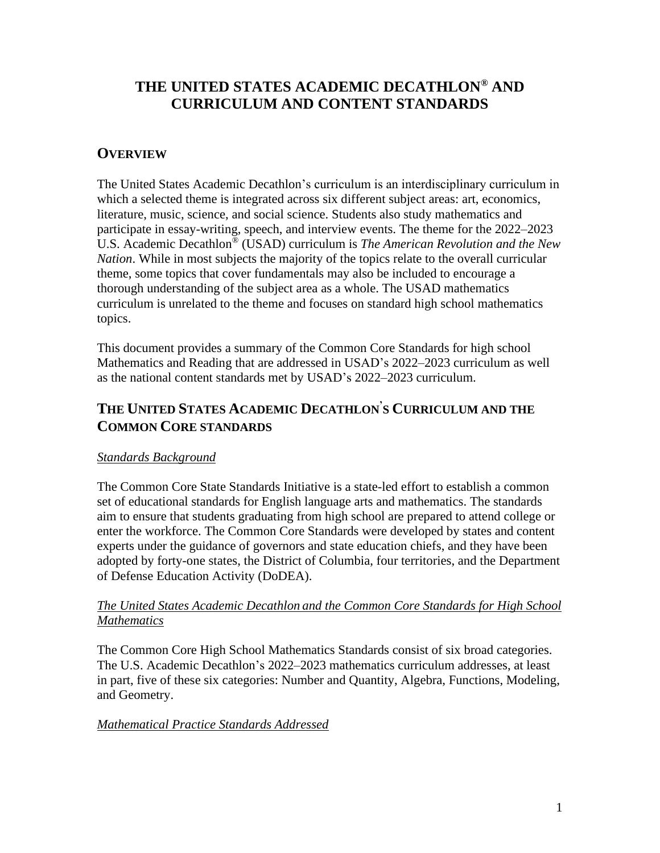# **THE UNITED STATES ACADEMIC DECATHLON® AND CURRICULUM AND CONTENT STANDARDS**

# **OVERVIEW**

The United States Academic Decathlon's curriculum is an interdisciplinary curriculum in which a selected theme is integrated across six different subject areas: art, economics, literature, music, science, and social science. Students also study mathematics and participate in essay-writing, speech, and interview events. The theme for the 2022–2023 U.S. Academic Decathlon® (USAD) curriculum is *The American Revolution and the New Nation*. While in most subjects the majority of the topics relate to the overall curricular theme, some topics that cover fundamentals may also be included to encourage a thorough understanding of the subject area as a whole. The USAD mathematics curriculum is unrelated to the theme and focuses on standard high school mathematics topics.

This document provides a summary of the Common Core Standards for high school Mathematics and Reading that are addressed in USAD's 2022–2023 curriculum as well as the national content standards met by USAD's 2022–2023 curriculum.

# **THE UNITED STATES ACADEMIC DECATHLON' S CURRICULUM AND THE COMMON CORE STANDARDS**

## *Standards Background*

The Common Core State Standards Initiative is a state-led effort to establish a common set of educational standards for English language arts and mathematics. The standards aim to ensure that students graduating from high school are prepared to attend college or enter the workforce. The Common Core Standards were developed by states and content experts under the guidance of governors and state education chiefs, and they have been adopted by forty-one states, the District of Columbia, four territories, and the Department of Defense Education Activity (DoDEA).

## *The United States Academic Decathlon and the Common Core Standards for High School Mathematics*

The Common Core High School Mathematics Standards consist of six broad categories. The U.S. Academic Decathlon's 2022–2023 mathematics curriculum addresses, at least in part, five of these six categories: Number and Quantity, Algebra, Functions, Modeling, and Geometry.

## *Mathematical Practice Standards Addressed*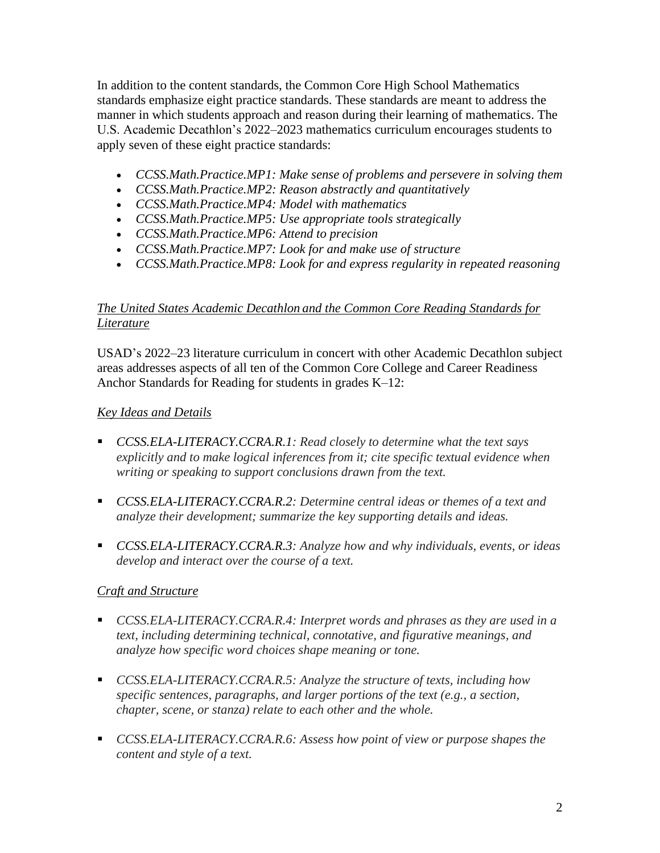In addition to the content standards, the Common Core High School Mathematics standards emphasize eight practice standards. These standards are meant to address the manner in which students approach and reason during their learning of mathematics. The U.S. Academic Decathlon's 2022–2023 mathematics curriculum encourages students to apply seven of these eight practice standards:

- *CCSS.Math.Practice.MP1: Make sense of problems and persevere in solving them*
- *CCSS.Math.Practice.MP2: Reason abstractly and quantitatively*
- *CCSS.Math.Practice.MP4: Model with mathematics*
- *CCSS.Math.Practice.MP5: Use appropriate tools strategically*
- *CCSS.Math.Practice.MP6: Attend to precision*
- *CCSS.Math.Practice.MP7: Look for and make use of structure*
- *CCSS.Math.Practice.MP8: Look for and express regularity in repeated reasoning*

# *The United States Academic Decathlon and the Common Core Reading Standards for Literature*

USAD's 2022–23 literature curriculum in concert with other Academic Decathlon subject areas addresses aspects of all ten of the Common Core College and Career Readiness Anchor Standards for Reading for students in grades K–12:

# *Key Ideas and Details*

- *CCSS.ELA-LITERACY.CCRA.R.1: Read closely to determine what the text says explicitly and to make logical inferences from it; cite specific textual evidence when writing or speaking to support conclusions drawn from the text.*
- *CCSS.ELA-LITERACY.CCRA.R.2: Determine central ideas or themes of a text and analyze their development; summarize the key supporting details and ideas.*
- *CCSS.ELA-LITERACY.CCRA.R.3: Analyze how and why individuals, events, or ideas develop and interact over the course of a text.*

## *Craft and Structure*

- *CCSS.ELA-LITERACY.CCRA.R.4: Interpret words and phrases as they are used in a text, including determining technical, connotative, and figurative meanings, and analyze how specific word choices shape meaning or tone.*
- *CCSS.ELA-LITERACY.CCRA.R.5: Analyze the structure of texts, including how specific sentences, paragraphs, and larger portions of the text (e.g., a section, chapter, scene, or stanza) relate to each other and the whole.*
- *CCSS.ELA-LITERACY.CCRA.R.6: Assess how point of view or purpose shapes the content and style of a text.*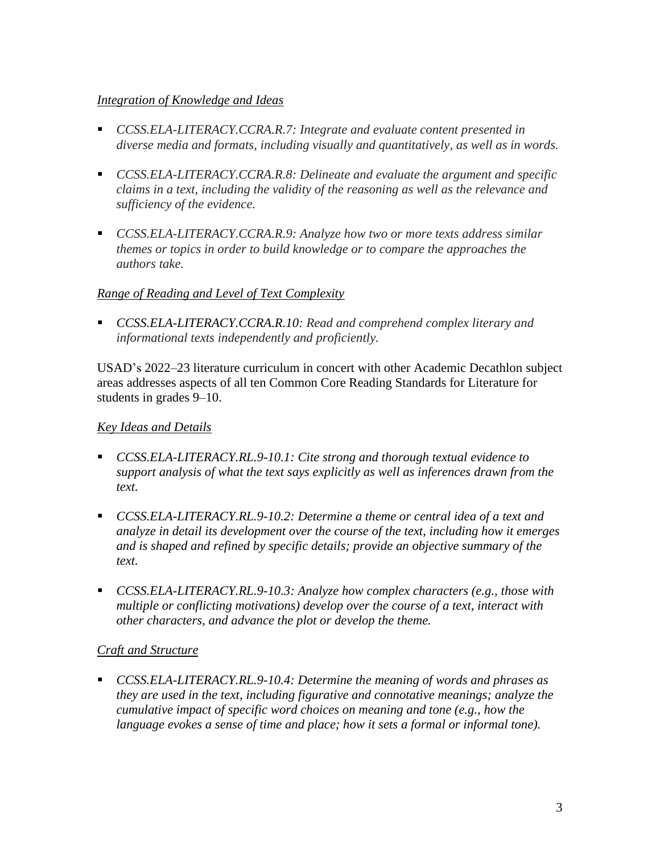## *Integration of Knowledge and Ideas*

- *CCSS.ELA-LITERACY.CCRA.R.7: Integrate and evaluate content presented in diverse media and formats, including visually and quantitatively, as well as in words.*
- *CCSS.ELA-LITERACY.CCRA.R.8: Delineate and evaluate the argument and specific claims in a text, including the validity of the reasoning as well as the relevance and sufficiency of the evidence.*
- *CCSS.ELA-LITERACY.CCRA.R.9: Analyze how two or more texts address similar themes or topics in order to build knowledge or to compare the approaches the authors take.*

# *Range of Reading and Level of Text Complexity*

▪ *CCSS.ELA-LITERACY.CCRA.R.10: Read and comprehend complex literary and informational texts independently and proficiently.*

USAD's 2022–23 literature curriculum in concert with other Academic Decathlon subject areas addresses aspects of all ten Common Core Reading Standards for Literature for students in grades 9–10.

# *Key Ideas and Details*

- *CCSS.ELA-LITERACY.RL.9-10.1: Cite strong and thorough textual evidence to support analysis of what the text says explicitly as well as inferences drawn from the text.*
- *CCSS.ELA-LITERACY.RL.9-10.2: Determine a theme or central idea of a text and analyze in detail its development over the course of the text, including how it emerges and is shaped and refined by specific details; provide an objective summary of the text.*
- *CCSS.ELA-LITERACY.RL.9-10.3: Analyze how complex characters (e.g., those with multiple or conflicting motivations) develop over the course of a text, interact with other characters, and advance the plot or develop the theme.*

## *Craft and Structure*

▪ *CCSS.ELA-LITERACY.RL.9-10.4: Determine the meaning of words and phrases as they are used in the text, including figurative and connotative meanings; analyze the cumulative impact of specific word choices on meaning and tone (e.g., how the language evokes a sense of time and place; how it sets a formal or informal tone).*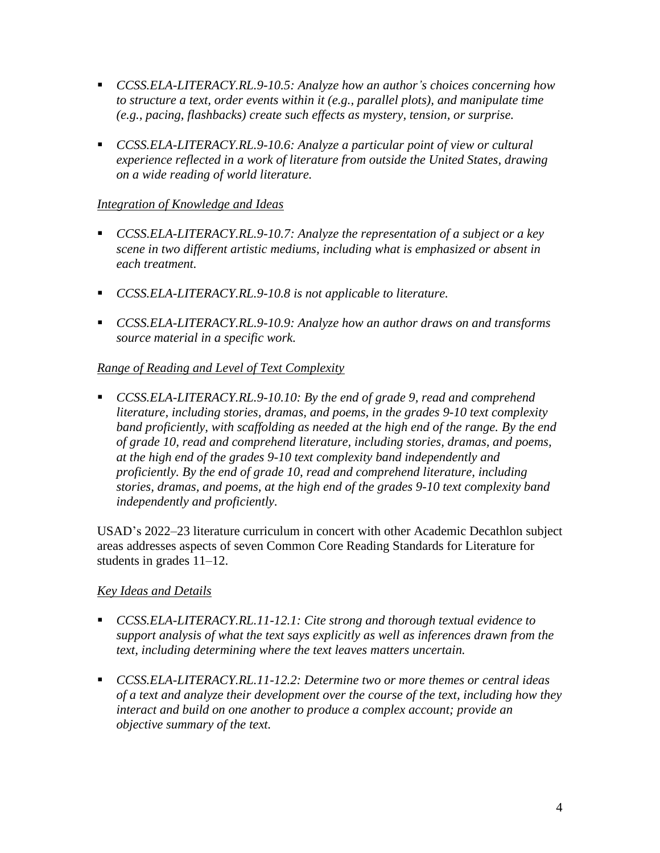- *CCSS.ELA-LITERACY.RL.9-10.5: Analyze how an author's choices concerning how to structure a text, order events within it (e.g., parallel plots), and manipulate time (e.g., pacing, flashbacks) create such effects as mystery, tension, or surprise.*
- *CCSS.ELA-LITERACY.RL.9-10.6: Analyze a particular point of view or cultural experience reflected in a work of literature from outside the United States, drawing on a wide reading of world literature.*

## *Integration of Knowledge and Ideas*

- *CCSS.ELA-LITERACY.RL.9-10.7: Analyze the representation of a subject or a key scene in two different artistic mediums, including what is emphasized or absent in each treatment.*
- *CCSS.ELA-LITERACY.RL.9-10.8 is not applicable to literature.*
- *CCSS.ELA-LITERACY.RL.9-10.9: Analyze how an author draws on and transforms source material in a specific work.*

# *Range of Reading and Level of Text Complexity*

▪ *CCSS.ELA-LITERACY.RL.9-10.10: By the end of grade 9, read and comprehend literature, including stories, dramas, and poems, in the grades 9-10 text complexity band proficiently, with scaffolding as needed at the high end of the range. By the end of grade 10, read and comprehend literature, including stories, dramas, and poems, at the high end of the grades 9-10 text complexity band independently and proficiently. By the end of grade 10, read and comprehend literature, including stories, dramas, and poems, at the high end of the grades 9-10 text complexity band independently and proficiently.*

USAD's 2022–23 literature curriculum in concert with other Academic Decathlon subject areas addresses aspects of seven Common Core Reading Standards for Literature for students in grades 11–12.

## *Key Ideas and Details*

- *CCSS.ELA-LITERACY.RL.11-12.1: Cite strong and thorough textual evidence to support analysis of what the text says explicitly as well as inferences drawn from the text, including determining where the text leaves matters uncertain.*
- *CCSS.ELA-LITERACY.RL.11-12.2: Determine two or more themes or central ideas of a text and analyze their development over the course of the text, including how they interact and build on one another to produce a complex account; provide an objective summary of the text.*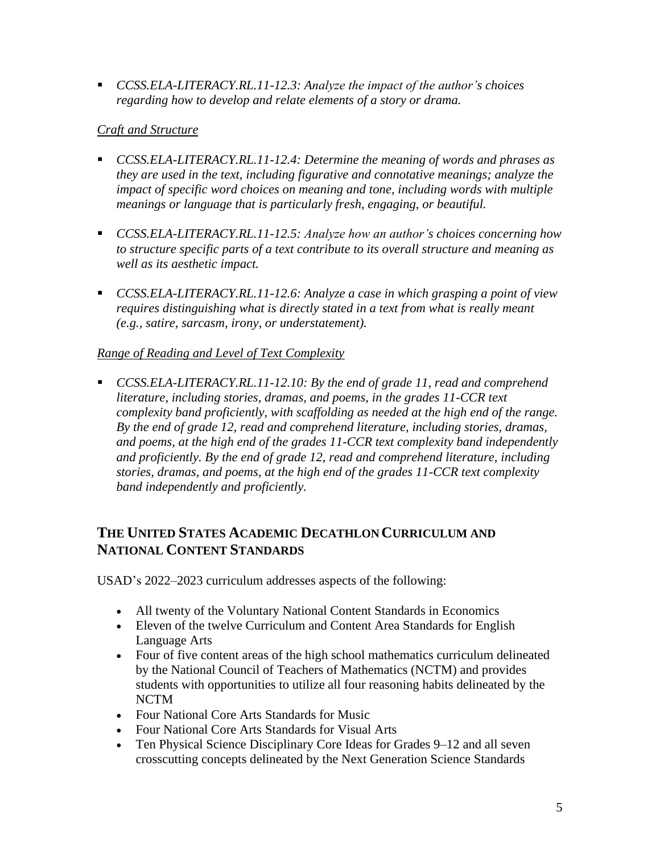▪ *CCSS.ELA-LITERACY.RL.11-12.3: Analyze the impact of the author's choices regarding how to develop and relate elements of a story or drama.*

## *Craft and Structure*

- *CCSS.ELA-LITERACY.RL.11-12.4: Determine the meaning of words and phrases as they are used in the text, including figurative and connotative meanings; analyze the impact of specific word choices on meaning and tone, including words with multiple meanings or language that is particularly fresh, engaging, or beautiful.*
- *CCSS.ELA-LITERACY.RL.11-12.5: Analyze how an author's choices concerning how to structure specific parts of a text contribute to its overall structure and meaning as well as its aesthetic impact.*
- *CCSS.ELA-LITERACY.RL.11-12.6: Analyze a case in which grasping a point of view requires distinguishing what is directly stated in a text from what is really meant (e.g., satire, sarcasm, irony, or understatement).*

## *Range of Reading and Level of Text Complexity*

■ *CCSS.ELA-LITERACY.RL.11-12.10: By the end of grade 11, read and comprehend literature, including stories, dramas, and poems, in the grades 11-CCR text complexity band proficiently, with scaffolding as needed at the high end of the range. By the end of grade 12, read and comprehend literature, including stories, dramas, and poems, at the high end of the grades 11-CCR text complexity band independently and proficiently. By the end of grade 12, read and comprehend literature, including stories, dramas, and poems, at the high end of the grades 11-CCR text complexity band independently and proficiently.*

# **THE UNITED STATES ACADEMIC DECATHLON CURRICULUM AND NATIONAL CONTENT STANDARDS**

USAD's 2022–2023 curriculum addresses aspects of the following:

- All twenty of the Voluntary National Content Standards in Economics
- Eleven of the twelve Curriculum and Content Area Standards for English Language Arts
- Four of five content areas of the high school mathematics curriculum delineated by the National Council of Teachers of Mathematics (NCTM) and provides students with opportunities to utilize all four reasoning habits delineated by the NCTM
- Four National Core Arts Standards for Music
- Four National Core Arts Standards for Visual Arts
- Ten Physical Science Disciplinary Core Ideas for Grades 9–12 and all seven crosscutting concepts delineated by the Next Generation Science Standards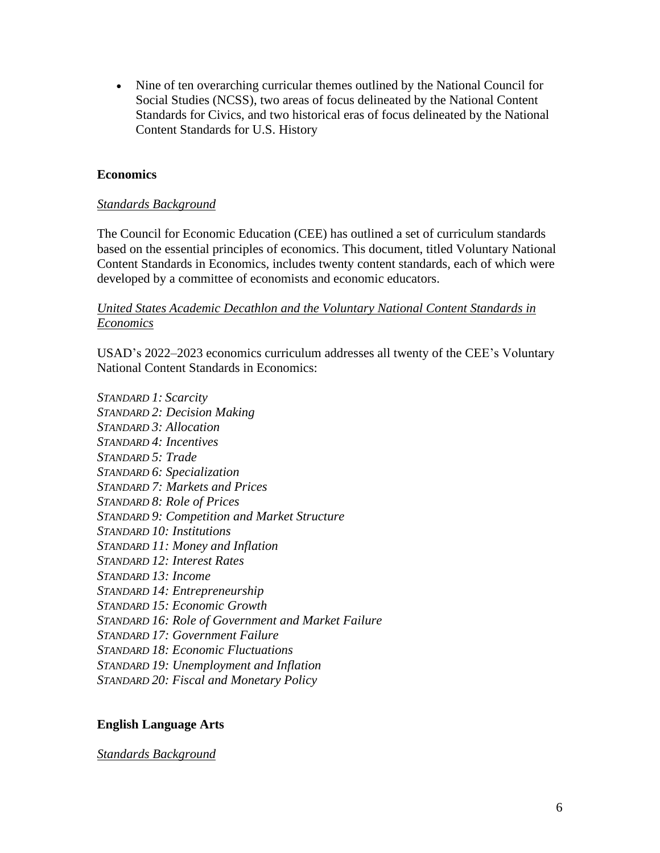• Nine of ten overarching curricular themes outlined by the National Council for Social Studies (NCSS), two areas of focus delineated by the National Content Standards for Civics, and two historical eras of focus delineated by the National Content Standards for U.S. History

#### **Economics**

#### *Standards Background*

The Council for Economic Education (CEE) has outlined a set of curriculum standards based on the essential principles of economics. This document, titled Voluntary National Content Standards in Economics, includes twenty content standards, each of which were developed by a committee of economists and economic educators.

#### *United States Academic Decathlon and the Voluntary National Content Standards in Economics*

USAD's 2022–2023 economics curriculum addresses all twenty of the CEE's Voluntary National Content Standards in Economics:

*STANDARD 1: Scarcity STANDARD 2: Decision Making STANDARD 3: Allocation STANDARD 4: Incentives STANDARD 5: Trade STANDARD 6: Specialization STANDARD 7: Markets and Prices STANDARD 8: Role of Prices STANDARD 9: Competition and Market Structure STANDARD 10: Institutions STANDARD 11: Money and Inflation STANDARD 12: Interest Rates STANDARD 13: Income STANDARD 14: Entrepreneurship STANDARD 15: Economic Growth STANDARD 16: Role of Government and Market Failure STANDARD 17: Government Failure STANDARD 18: Economic Fluctuations STANDARD 19: Unemployment and Inflation STANDARD 20: Fiscal and Monetary Policy* 

#### **English Language Arts**

*Standards Background*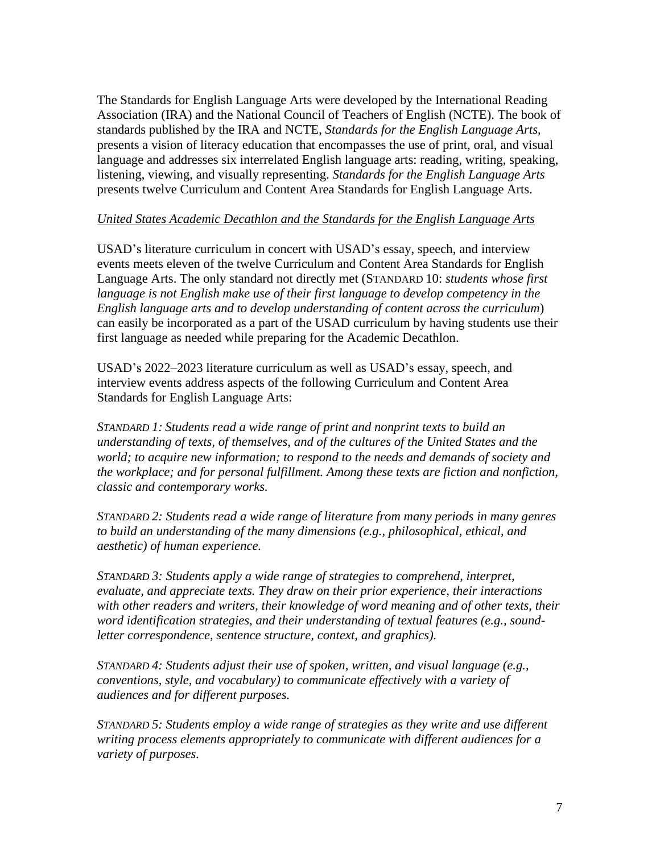The Standards for English Language Arts were developed by the International Reading Association (IRA) and the National Council of Teachers of English (NCTE). The book of standards published by the IRA and NCTE, *Standards for the English Language Arts*, presents a vision of literacy education that encompasses the use of print, oral, and visual language and addresses six interrelated English language arts: reading, writing, speaking, listening, viewing, and visually representing. *Standards for the English Language Arts* presents twelve Curriculum and Content Area Standards for English Language Arts.

#### *United States Academic Decathlon and the Standards for the English Language Arts*

USAD's literature curriculum in concert with USAD's essay, speech, and interview events meets eleven of the twelve Curriculum and Content Area Standards for English Language Arts. The only standard not directly met (STANDARD 10: *students whose first language is not English make use of their first language to develop competency in the English language arts and to develop understanding of content across the curriculum*) can easily be incorporated as a part of the USAD curriculum by having students use their first language as needed while preparing for the Academic Decathlon.

USAD's 2022–2023 literature curriculum as well as USAD's essay, speech, and interview events address aspects of the following Curriculum and Content Area Standards for English Language Arts:

*STANDARD 1: Students read a wide range of print and nonprint texts to build an understanding of texts, of themselves, and of the cultures of the United States and the world; to acquire new information; to respond to the needs and demands of society and the workplace; and for personal fulfillment. Among these texts are fiction and nonfiction, classic and contemporary works.*

*STANDARD 2: Students read a wide range of literature from many periods in many genres to build an understanding of the many dimensions (e.g., philosophical, ethical, and aesthetic) of human experience.*

*STANDARD 3: Students apply a wide range of strategies to comprehend, interpret, evaluate, and appreciate texts. They draw on their prior experience, their interactions with other readers and writers, their knowledge of word meaning and of other texts, their word identification strategies, and their understanding of textual features (e.g., soundletter correspondence, sentence structure, context, and graphics).*

*STANDARD 4: Students adjust their use of spoken, written, and visual language (e.g., conventions, style, and vocabulary) to communicate effectively with a variety of audiences and for different purposes.*

*STANDARD 5: Students employ a wide range of strategies as they write and use different writing process elements appropriately to communicate with different audiences for a variety of purposes.*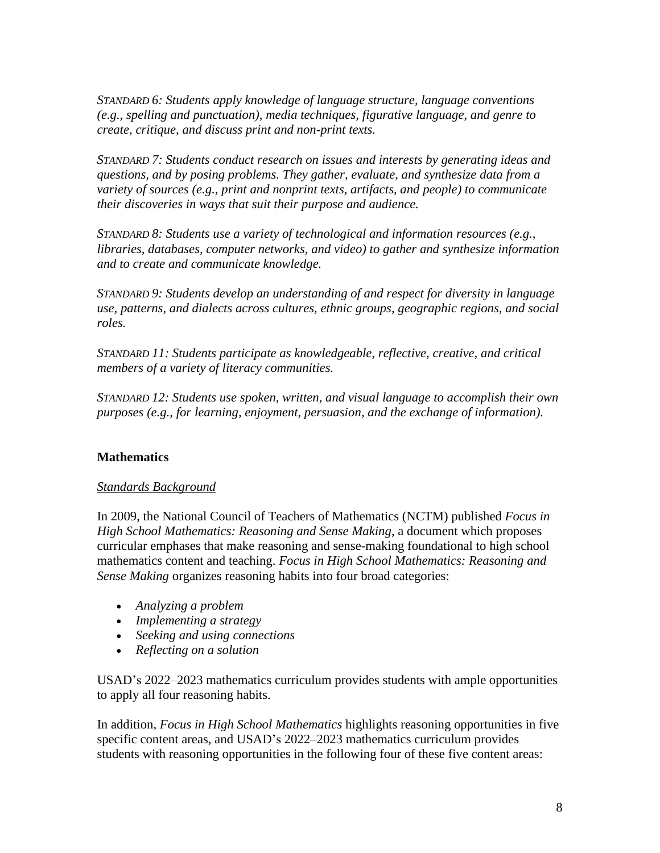*STANDARD 6: Students apply knowledge of language structure, language conventions (e.g., spelling and punctuation), media techniques, figurative language, and genre to create, critique, and discuss print and non-print texts.*

*STANDARD 7: Students conduct research on issues and interests by generating ideas and questions, and by posing problems. They gather, evaluate, and synthesize data from a variety of sources (e.g., print and nonprint texts, artifacts, and people) to communicate their discoveries in ways that suit their purpose and audience.*

*STANDARD 8: Students use a variety of technological and information resources (e.g., libraries, databases, computer networks, and video) to gather and synthesize information and to create and communicate knowledge.*

*STANDARD 9: Students develop an understanding of and respect for diversity in language use, patterns, and dialects across cultures, ethnic groups, geographic regions, and social roles.*

*STANDARD 11: Students participate as knowledgeable, reflective, creative, and critical members of a variety of literacy communities.*

*STANDARD 12: Students use spoken, written, and visual language to accomplish their own purposes (e.g., for learning, enjoyment, persuasion, and the exchange of information).* 

# **Mathematics**

## *Standards Background*

In 2009, the National Council of Teachers of Mathematics (NCTM) published *Focus in High School Mathematics: Reasoning and Sense Making*, a document which proposes curricular emphases that make reasoning and sense-making foundational to high school mathematics content and teaching. *Focus in High School Mathematics: Reasoning and Sense Making* organizes reasoning habits into four broad categories:

- *Analyzing a problem*
- *Implementing a strategy*
- *Seeking and using connections*
- *Reflecting on a solution*

USAD's 2022–2023 mathematics curriculum provides students with ample opportunities to apply all four reasoning habits.

In addition, *Focus in High School Mathematics* highlights reasoning opportunities in five specific content areas, and USAD's 2022–2023 mathematics curriculum provides students with reasoning opportunities in the following four of these five content areas: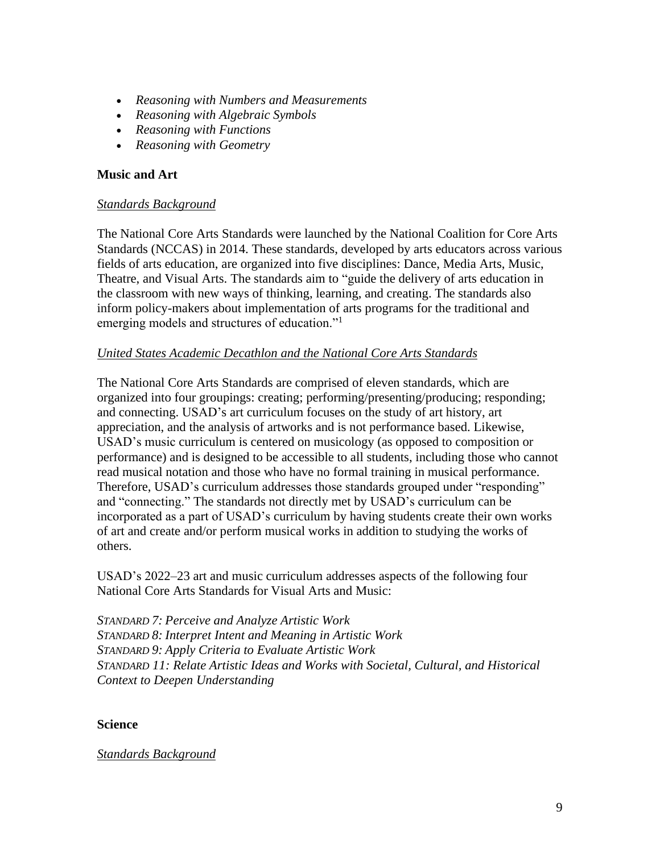- *Reasoning with Numbers and Measurements*
- *Reasoning with Algebraic Symbols*
- *Reasoning with Functions*
- *Reasoning with Geometry*

#### **Music and Art**

#### *Standards Background*

The National Core Arts Standards were launched by the National Coalition for Core Arts Standards (NCCAS) in 2014. These standards, developed by arts educators across various fields of arts education, are organized into five disciplines: Dance, Media Arts, Music, Theatre, and Visual Arts. The standards aim to "guide the delivery of arts education in the classroom with new ways of thinking, learning, and creating. The standards also inform policy-makers about implementation of arts programs for the traditional and emerging models and structures of education."<sup>1</sup>

#### *United States Academic Decathlon and the National Core Arts Standards*

The National Core Arts Standards are comprised of eleven standards, which are organized into four groupings: creating; performing/presenting/producing; responding; and connecting. USAD's art curriculum focuses on the study of art history, art appreciation, and the analysis of artworks and is not performance based. Likewise, USAD's music curriculum is centered on musicology (as opposed to composition or performance) and is designed to be accessible to all students, including those who cannot read musical notation and those who have no formal training in musical performance. Therefore, USAD's curriculum addresses those standards grouped under "responding" and "connecting." The standards not directly met by USAD's curriculum can be incorporated as a part of USAD's curriculum by having students create their own works of art and create and/or perform musical works in addition to studying the works of others.

USAD's 2022–23 art and music curriculum addresses aspects of the following four National Core Arts Standards for Visual Arts and Music:

*STANDARD 7: Perceive and Analyze Artistic Work STANDARD 8: Interpret Intent and Meaning in Artistic Work STANDARD 9: Apply Criteria to Evaluate Artistic Work STANDARD 11: Relate Artistic Ideas and Works with Societal, Cultural, and Historical Context to Deepen Understanding*

#### **Science**

#### *Standards Background*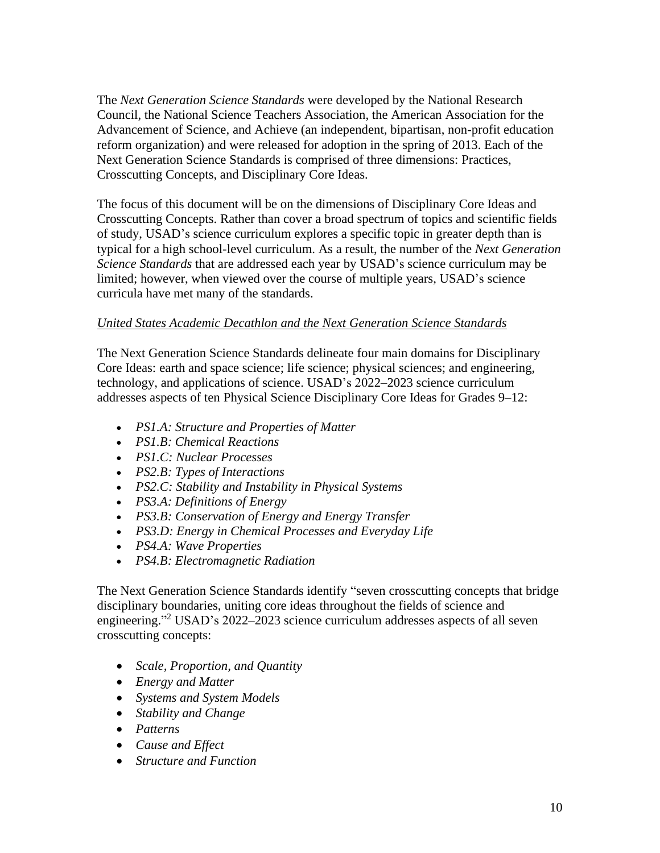The *Next Generation Science Standards* were developed by the National Research Council, the National Science Teachers Association, the American Association for the Advancement of Science, and Achieve (an independent, bipartisan, non-profit education reform organization) and were released for adoption in the spring of 2013. Each of the Next Generation Science Standards is comprised of three dimensions: Practices, Crosscutting Concepts, and Disciplinary Core Ideas.

The focus of this document will be on the dimensions of Disciplinary Core Ideas and Crosscutting Concepts. Rather than cover a broad spectrum of topics and scientific fields of study, USAD's science curriculum explores a specific topic in greater depth than is typical for a high school-level curriculum. As a result, the number of the *Next Generation Science Standards* that are addressed each year by USAD's science curriculum may be limited; however, when viewed over the course of multiple years, USAD's science curricula have met many of the standards.

## *United States Academic Decathlon and the Next Generation Science Standards*

The Next Generation Science Standards delineate four main domains for Disciplinary Core Ideas: earth and space science; life science; physical sciences; and engineering, technology, and applications of science. USAD's 2022–2023 science curriculum addresses aspects of ten Physical Science Disciplinary Core Ideas for Grades 9–12:

- *PS1.A: Structure and Properties of Matter*
- *PS1.B: Chemical Reactions*
- *PS1.C: Nuclear Processes*
- *PS2.B: Types of Interactions*
- *PS2.C: Stability and Instability in Physical Systems*
- *PS3.A: Definitions of Energy*
- *PS3.B: Conservation of Energy and Energy Transfer*
- *PS3.D: Energy [in Chemical Processes and Everyday Life](http://www.nap.edu/openbook.php?record_id=13165&page=147)*
- *PS4.A: Wave Properties*
- *PS4.B: Electromagnetic Radiation*

The Next Generation Science Standards identify "seven crosscutting concepts that bridge disciplinary boundaries, uniting core ideas throughout the fields of science and engineering." <sup>2</sup> USAD's 2022–2023 science curriculum addresses aspects of all seven crosscutting concepts:

- *Scale, Proportion, and Quantity*
- *Energy and Matter*
- *Systems and System Models*
- *Stability and Change*
- *Patterns*
- *Cause and Effect*
- *Structure and Function*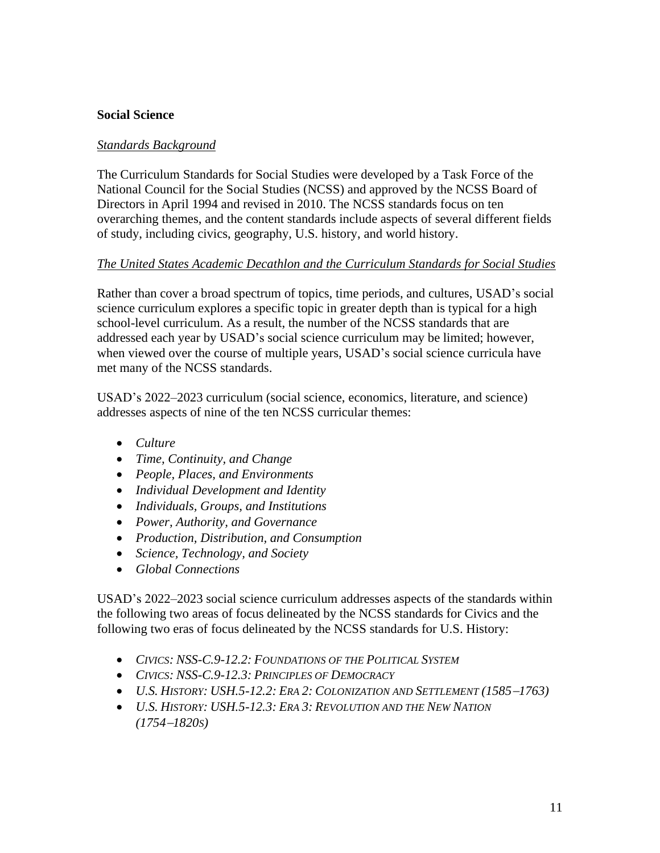#### **Social Science**

#### *Standards Background*

The Curriculum Standards for Social Studies were developed by a Task Force of the National Council for the Social Studies (NCSS) and approved by the NCSS Board of Directors in April 1994 and revised in 2010. The NCSS standards focus on ten overarching themes, and the content standards include aspects of several different fields of study, including civics, geography, U.S. history, and world history.

#### *The United States Academic Decathlon and the Curriculum Standards for Social Studies*

Rather than cover a broad spectrum of topics, time periods, and cultures, USAD's social science curriculum explores a specific topic in greater depth than is typical for a high school-level curriculum. As a result, the number of the NCSS standards that are addressed each year by USAD's social science curriculum may be limited; however, when viewed over the course of multiple years, USAD's social science curricula have met many of the NCSS standards.

USAD's 2022–2023 curriculum (social science, economics, literature, and science) addresses aspects of nine of the ten NCSS curricular themes:

- *Culture*
- *Time, Continuity, and Change*
- *People, Places, and Environments*
- *Individual Development and Identity*
- *Individuals, Groups, and Institutions*
- *Power, Authority, and Governance*
- *Production, Distribution, and Consumption*
- *Science, Technology, and Society*
- *Global Connections*

USAD's 2022–2023 social science curriculum addresses aspects of the standards within the following two areas of focus delineated by the NCSS standards for Civics and the following two eras of focus delineated by the NCSS standards for U.S. History:

- *CIVICS: NSS-C.9-12.2: FOUNDATIONS OF THE POLITICAL SYSTEM*
- *CIVICS: NSS-C.9-12.3: PRINCIPLES OF DEMOCRACY*
- *U.S. HISTORY: USH.5-12.2: ERA 2: COLONIZATION AND SETTLEMENT (1585*−*1763)*
- *U.S. HISTORY: USH.5-12.3: ERA 3: REVOLUTION AND THE NEW NATION (1754*−*1820S)*